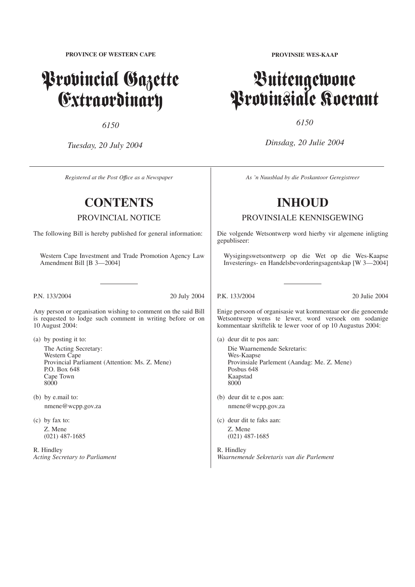**PROVINCE OF WESTERN CAPE**

# Provincial Gazette Extraordinary

*6150*

*Tuesday, 20 July 2004*

*Registered at the Post Offıce as a Newspaper*

# **CONTENTS**

PROVINCIAL NOTICE

The following Bill is hereby published for general information:

Western Cape Investment and Trade Promotion Agency Law Amendment Bill [B 3—2004]

P.N. 133/2004 20 July 2004

Any person or organisation wishing to comment on the said Bill is requested to lodge such comment in writing before or on 10 August 2004:

- (a) by posting it to: The Acting Secretary: Western Cape Provincial Parliament (Attention: Ms. Z. Mene) P.O. Box 648 Cape Town 8000
- (b) by e.mail to: nmene@wcpp.gov.za
- (c) by fax to: Z. Mene (021) 487-1685

R. Hindley *Acting Secretary to Parliament* **PROVINSIE WES-KAAP**

# Buitengewone Provinsiale Koerant

*6150*

*Dinsdag, 20 Julie 2004*

*As 'n Nuusblad by die Poskantoor Geregistreer*

# **INHOUD**

PROVINSIALE KENNISGEWING

Die volgende Wetsontwerp word hierby vir algemene inligting gepubliseer:

Wysigingswetsontwerp op die Wet op die Wes-Kaapse Investerings- en Handelsbevorderingsagentskap [W 3—2004]

P.K. 133/2004 20 Julie 2004

Enige persoon of organisasie wat kommentaar oor die genoemde Wetsontwerp wens te lewer, word versoek om sodanige kommentaar skriftelik te lewer voor of op 10 Augustus 2004:

- (a) deur dit te pos aan: Die Waarnemende Sekretaris: Wes-Kaapse Provinsiale Parlement (Aandag: Me. Z. Mene) Posbus 648 Kaapstad 8000
- (b) deur dit te e.pos aan: nmene@wcpp.gov.za
- (c) deur dit te faks aan: Z. Mene (021) 487-1685

R. Hindley *Waarnemende Sekretaris van die Parlement*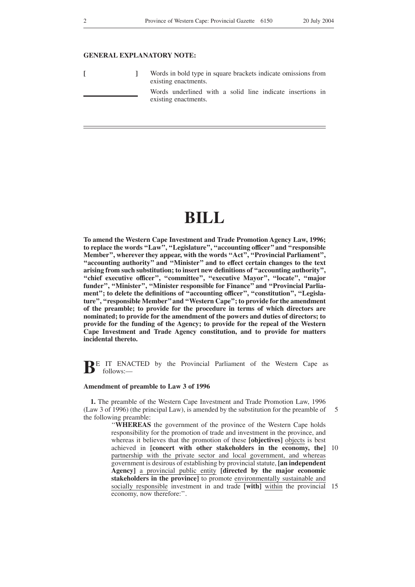# **GENERAL EXPLANATORY NOTE:**

|  |  | Words in bold type in square brackets indicate omissions from<br>existing enactments. |  |  |  |
|--|--|---------------------------------------------------------------------------------------|--|--|--|
|  |  | Words underlined with a solid line indicate insertions in<br>existing enactments.     |  |  |  |

# **BILL**

**To amend the Western Cape Investment and Trade Promotion Agency Law, 1996; to replace the words ''Law'', ''Legislature'', ''accounting officer'' and ''responsible Member'', wherever they appear, with the words ''Act'', ''Provincial Parliament'', ''accounting authority'' and ''Minister'' and to effect certain changes to the text arising from such substitution; to insert new definitions of ''accounting authority'', ''chief executive officer'', ''committee'', ''executive Mayor'', ''locate'', ''major** funder", "Minister", "Minister responsible for Finance" and "Provincial Parlia**ment''; to delete the definitions of ''accounting officer'', ''constitution'', ''Legislature'', ''responsible Member''and ''Western Cape''; to provide for the amendment of the preamble; to provide for the procedure in terms of which directors are nominated; to provide for the amendment of the powers and duties of directors; to provide for the funding of the Agency; to provide for the repeal of the Western Cape Investment and Trade Agency constitution, and to provide for matters incidental thereto.**

**BE** IT ENACTED by the Provincial Parliament of the Western Cape as follows: follows:—

#### **Amendment of preamble to Law 3 of 1996**

**1.** The preamble of the Western Cape Investment and Trade Promotion Law, 1996 (Law 3 of 1996) (the principal Law), is amended by the substitution for the preamble of the following preamble: 5

''**WHEREAS** the government of the province of the Western Cape holds responsibility for the promotion of trade and investment in the province, and whereas it believes that the promotion of these **[objectives]** objects is best achieved in **[concert with other stakeholders in the economy, the]** 10 partnership with the private sector and local government, and whereas government is desirous of establishing by provincial statute, **[an independent Agency]** a provincial public entity **[directed by the major economic stakeholders in the province]** to promote environmentally sustainable and socially responsible investment in and trade **[with]** within the provincial 15economy, now therefore:''.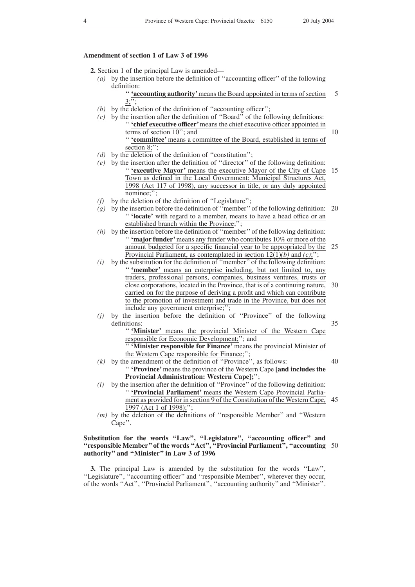35

40

# **Amendment of section 1 of Law 3 of 1996**

- **2.** Section 1 of the principal Law is amended—
	- *(a)* by the insertion before the definition of ''accounting officer'' of the following definition:

'' **'accounting authority'**means the Board appointed in terms of section  $3; \overline{'';}$ 5

- *(b)* by the deletion of the definition of ''accounting officer'';
- *(c)* by the insertion after the definition of ''Board'' of the following definitions: '' **'chief executive officer'**means the chief executive officer appointed in terms of section 10''; and '' **'committee'** means a committee of the Board, established in terms of section 8;"; 10
- *(d)* by the deletion of the definition of ''constitution'';
- *(e)* by the insertion after the definition of ''director'' of the following definition: '' **'executive Mayor'** means the executive Mayor of the City of Cape Town as defined in the Local Government: Municipal Structures Act, 1998 (Act 117 of 1998), any successor in title, or any duly appointed nominee;"; 15
- *(f)* by the deletion of the definition of ''Legislature'';
- *(g)* by the insertion before the definition of ''member''of the following definition: 20 '' **'locate'** with regard to a member, means to have a head office or an established branch within the Province;'';
- *(h)* by the insertion before the definition of ''member''of the following definition: '' **'major funder'**means any funder who contributes 10% or more of the amount budgeted for a specific financial year to be appropriated by the 25 Provincial Parliament, as contemplated in section 12(1)*(b)* and *(c)*;'';
- $(i)$  by the substitution for the definition of "member" of the following definition: "**'member'** means an enterprise including, but not limited to, any traders, professional persons, companies, business ventures, trusts or close corporations, located in the Province, that is of a continuing nature, carried on for the purpose of deriving a profit and which can contribute to the promotion of investment and trade in the Province, but does not include any government enterprise;"; 30
- *(j)* by the insertion before the definition of ''Province'' of the following definitions:

'' **'Minister'** means the provincial Minister of the Western Cape responsible for Economic Development;''; and

'' **'Minister responsible for Finance'** means the provincial Minister of the Western Cape responsible for Finance;'';

- $(k)$  by the amendment of the definition of "Province", as follows: '' **'Province'**means the province of the Western Cape **[and includes the Provincial Administration: Western Cape];**'';
- *(l)* by the insertion after the definition of ''Province'' of the following definition: '' **'Provincial Parliament'** means the Western Cape Provincial Parliament as provided for in section 9 of the Constitution of the Western Cape, 45 1997 (Act 1 of 1998);'';
- *(m)* by the deletion of the definitions of ''responsible Member'' and ''Western Cape''.

# Substitution for the words "Law", "Legislature", "accounting officer" and **''responsible Member'' of the words ''Act'', ''Provincial Parliament'', ''accounting** 50**authority'' and ''Minister'' in Law 3 of 1996**

**3.** The principal Law is amended by the substitution for the words ''Law'', ''Legislature'', ''accounting officer'' and ''responsible Member'', wherever they occur, of the words ''Act'', ''Provincial Parliament'', ''accounting authority'' and ''Minister''.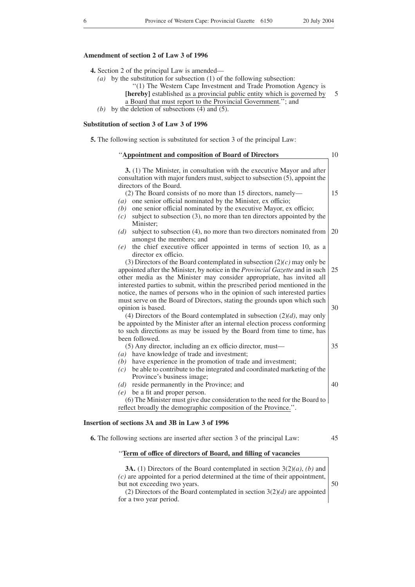5

# **Amendment of section 2 of Law 3 of 1996**

- **4.** Section 2 of the principal Law is amended—
	- *(a)* by the substitution for subsection (1) of the following subsection:
		- ''(1) The Western Cape Investment and Trade Promotion Agency is
			- **[hereby]** established as a provincial public entity which is governed by
			- a Board that must report to the Provincial Government.''; and
	- *(b)* by the deletion of subsections (4) and (5).

#### **Substitution of section 3 of Law 3 of 1996**

**5.** The following section is substituted for section 3 of the principal Law:

| "Appointment and composition of Board of Directors                                                                                                                                                                                                                                                                                       | 10 |
|------------------------------------------------------------------------------------------------------------------------------------------------------------------------------------------------------------------------------------------------------------------------------------------------------------------------------------------|----|
| 3. (1) The Minister, in consultation with the executive Mayor and after<br>consultation with major funders must, subject to subsection $(5)$ , appoint the<br>directors of the Board.                                                                                                                                                    |    |
| (2) The Board consists of no more than 15 directors, namely—<br>$(a)$ one senior official nominated by the Minister, ex officio;<br>$(b)$ one senior official nominated by the executive Mayor, ex officio;<br>subject to subsection (3), no more than ten directors appointed by the<br>(c)                                             | 15 |
| Minister:<br>subject to subsection (4), no more than two directors nominated from<br>(d)<br>amongst the members; and<br>the chief executive officer appointed in terms of section 10, as a<br>(e)                                                                                                                                        | 20 |
| director ex officio.<br>(3) Directors of the Board contemplated in subsection $(2)(c)$ may only be<br>appointed after the Minister, by notice in the Provincial Gazette and in such<br>other media as the Minister may consider appropriate, has invited all                                                                             | 25 |
| interested parties to submit, within the prescribed period mentioned in the<br>notice, the names of persons who in the opinion of such interested parties<br>must serve on the Board of Directors, stating the grounds upon which such<br>opinion is based.<br>(4) Directors of the Board contemplated in subsection $(2)(d)$ , may only | 30 |
| be appointed by the Minister after an internal election process conforming<br>to such directions as may be issued by the Board from time to time, has<br>been followed.                                                                                                                                                                  |    |
| (5) Any director, including an ex officio director, must—<br>$(a)$ have knowledge of trade and investment;<br>$(b)$ have experience in the promotion of trade and investment;<br>be able to contribute to the integrated and coordinated marketing of the<br>(c)<br>Province's business image;                                           | 35 |
| $(d)$ reside permanently in the Province; and<br>$(e)$ be a fit and proper person.<br>(6) The Minister must give due consideration to the need for the Board to<br>reflect broadly the demographic composition of the Province.".                                                                                                        | 40 |
| Insertion of sections 3A and 3B in Law 3 of 1996                                                                                                                                                                                                                                                                                         |    |
| <b>6.</b> The following sections are inserted after section 3 of the principal Law:                                                                                                                                                                                                                                                      | 45 |

# ''**Term of office of directors of Board, and filling of vacancies**

**3A.** (1) Directors of the Board contemplated in section 3(2)*(a)*, *(b)* and *(c)* are appointed for a period determined at the time of their appointment, but not exceeding two years.

(2) Directors of the Board contemplated in section 3(2)*(d)* are appointed for a two year period.

50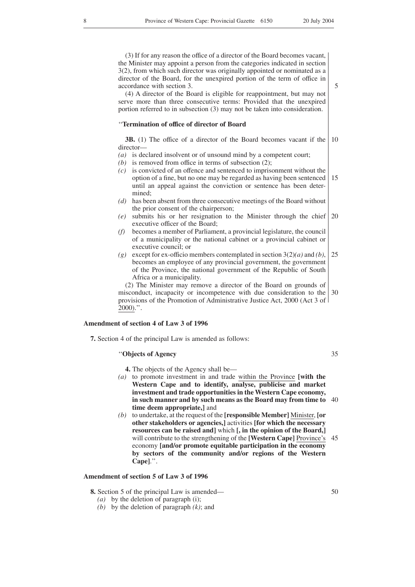(3) If for any reason the office of a director of the Board becomes vacant, the Minister may appoint a person from the categories indicated in section 3(2), from which such director was originally appointed or nominated as a director of the Board, for the unexpired portion of the term of office in accordance with section 3.

(4) A director of the Board is eligible for reappointment, but may not serve more than three consecutive terms: Provided that the unexpired portion referred to in subsection (3) may not be taken into consideration.

#### ''**Termination of office of director of Board**

**3B.** (1) The office of a director of the Board becomes vacant if the 10 director—

*(a)* is declared insolvent or of unsound mind by a competent court;

- *(b)* is removed from office in terms of subsection (2);
- *(c)* is convicted of an offence and sentenced to imprisonment without the option of a fine, but no one may be regarded as having been sentenced until an appeal against the conviction or sentence has been determined; 15
- *(d)* has been absent from three consecutive meetings of the Board without the prior consent of the chairperson;
- *(e)* submits his or her resignation to the Minister through the chief executive officer of the Board; 20
- *(f)* becomes a member of Parliament, a provincial legislature, the council of a municipality or the national cabinet or a provincial cabinet or executive council; or
- *(g)* except for ex-officio members contemplated in section 3(2)*(a)* and *(b)*, becomes an employee of any provincial government, the government of the Province, the national government of the Republic of South Africa or a municipality. 25

(2) The Minister may remove a director of the Board on grounds of misconduct, incapacity or incompetence with due consideration to the provisions of the Promotion of Administrative Justice Act, 2000 (Act 3 of 2000).''. 30

# **Amendment of section 4 of Law 3 of 1996**

**7.** Section 4 of the principal Law is amended as follows:

# ''**Objects of Agency**

35

- **4.** The objects of the Agency shall be—
- *(a)* to promote investment in and trade within the Province **[with the Western Cape and to identify, analyse, publicise and market investment and trade opportunities in the Western Cape economy, in such manner and by such means as the Board may from time to** 40 **time deem appropriate,]** and
- *(b)* to undertake, at the request of the **[responsible Member]** Minister, **[or other stakeholders or agencies,]** activities **[for which the necessary resources can be raised and]** which **[, in the opinion of the Board,]** will contribute to the strengthening of the **[Western Cape]** Province's 45 economy **[and/or promote equitable participation in the economy by sectors of the community and/or regions of the Western Cape]**.''.

# **Amendment of section 5 of Law 3 of 1996**

**8.** Section 5 of the principal Law is amended—

- *(a)* by the deletion of paragraph (i);
- *(b)* by the deletion of paragraph *(k)*; and

5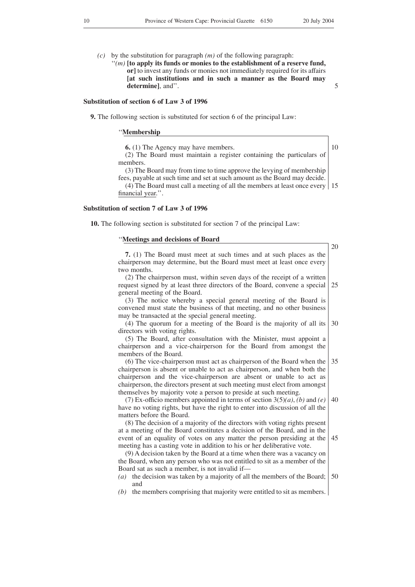*(c)* by the substitution for paragraph *(m)* of the following paragraph: ''*(m)* **[to apply its funds or monies to the establishment of a reserve fund, or]** to invest any funds or monies not immediately required for its affairs **[at such institutions and in such a manner as the Board may**

5

#### **Substitution of section 6 of Law 3 of 1996**

**determine]**, and''.

**9.** The following section is substituted for section 6 of the principal Law:

#### ''**Membership**

**6.** (1) The Agency may have members.

10

(2) The Board must maintain a register containing the particulars of members.

(3) The Board may from time to time approve the levying of membership fees, payable at such time and set at such amount as the Board may decide.

(4) The Board must call a meeting of all the members at least once every 15 financial year.''.

# **Substitution of section 7 of Law 3 of 1996**

**10.** The following section is substituted for section 7 of the principal Law:

#### ''**Meetings and decisions of Board**

**7.** (1) The Board must meet at such times and at such places as the chairperson may determine, but the Board must meet at least once every two months. (2) The chairperson must, within seven days of the receipt of a written request signed by at least three directors of the Board, convene a special general meeting of the Board. (3) The notice whereby a special general meeting of the Board is convened must state the business of that meeting, and no other business may be transacted at the special general meeting. (4) The quorum for a meeting of the Board is the majority of all its directors with voting rights. (5) The Board, after consultation with the Minister, must appoint a chairperson and a vice-chairperson for the Board from amongst the members of the Board. (6) The vice-chairperson must act as chairperson of the Board when the chairperson is absent or unable to act as chairperson, and when both the chairperson and the vice-chairperson are absent or unable to act as chairperson, the directors present at such meeting must elect from amongst themselves by majority vote a person to preside at such meeting. (7) Ex-officio members appointed in terms of section 3(5)*(a)*, *(b)* and *(e)* have no voting rights, but have the right to enter into discussion of all the matters before the Board. (8) The decision of a majority of the directors with voting rights present at a meeting of the Board constitutes a decision of the Board, and in the event of an equality of votes on any matter the person presiding at the meeting has a casting vote in addition to his or her deliberative vote. (9) A decision taken by the Board at a time when there was a vacancy on the Board, when any person who was not entitled to sit as a member of the Board sat as such a member, is not invalid if— *(a)* the decision was taken by a majority of all the members of the Board; 50and *(b)* the members comprising that majority were entitled to sit as members. 20 25 30 35 40 45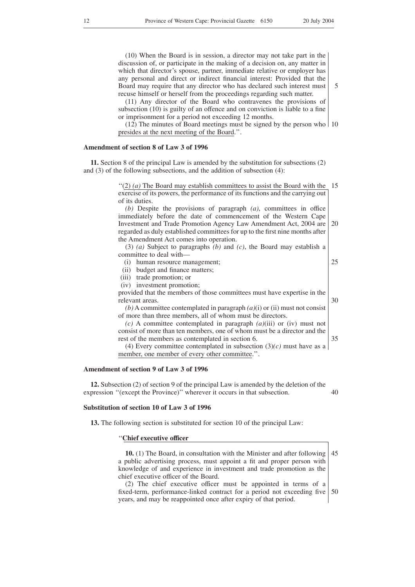5

25

30

35

(10) When the Board is in session, a director may not take part in the discussion of, or participate in the making of a decision on, any matter in which that director's spouse, partner, immediate relative or employer has any personal and direct or indirect financial interest: Provided that the Board may require that any director who has declared such interest must recuse himself or herself from the proceedings regarding such matter.

(11) Any director of the Board who contravenes the provisions of subsection (10) is guilty of an offence and on conviction is liable to a fine or imprisonment for a period not exceeding 12 months.

 $(12)$  The minutes of Board meetings must be signed by the person who  $\vert$  10 presides at the next meeting of the Board.''.

# **Amendment of section 8 of Law 3 of 1996**

**11.** Section 8 of the principal Law is amended by the substitution for subsections (2) and (3) of the following subsections, and the addition of subsection (4):

> " $(2)$  (*a*) The Board may establish committees to assist the Board with the 15 exercise of its powers, the performance of its functions and the carrying out of its duties.

> *(b)* Despite the provisions of paragraph *(a)*, committees in office immediately before the date of commencement of the Western Cape Investment and Trade Promotion Agency Law Amendment Act, 2004 are regarded as duly established committees for up to the first nine months after the Amendment Act comes into operation. 20

(3) *(a)* Subject to paragraphs *(b)* and *(c)*, the Board may establish a committee to deal with—

- (i) human resource management;
- (ii) budget and finance matters;
- (iii) trade promotion; or
- (iv) investment promotion;

provided that the members of those committees must have expertise in the relevant areas.

*(b)* A committee contemplated in paragraph *(a)*(i) or (ii) must not consist of more than three members, all of whom must be directors.

*(c)* A committee contemplated in paragraph *(a)*(iii) or (iv) must not consist of more than ten members, one of whom must be a director and the rest of the members as contemplated in section 6.

(4) Every committee contemplated in subsection  $(3)(c)$  must have as a member, one member of every other committee.''.

# **Amendment of section 9 of Law 3 of 1996**

**12.** Subsection (2) of section 9 of the principal Law is amended by the deletion of the expression "(except the Province)" wherever it occurs in that subsection. 40

# **Substitution of section 10 of Law 3 of 1996**

**13.** The following section is substituted for section 10 of the principal Law:

#### ''**Chief executive officer**

**10.** (1) The Board, in consultation with the Minister and after following a public advertising process, must appoint a fit and proper person with knowledge of and experience in investment and trade promotion as the chief executive officer of the Board. 45

(2) The chief executive officer must be appointed in terms of a fixed-term, performance-linked contract for a period not exceeding five years, and may be reappointed once after expiry of that period. 50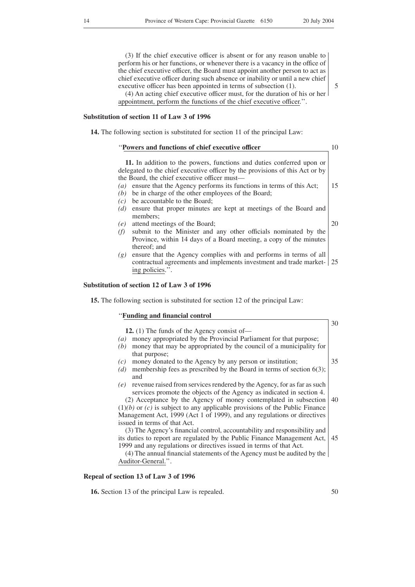(3) If the chief executive officer is absent or for any reason unable to perform his or her functions, or whenever there is a vacancy in the office of the chief executive officer, the Board must appoint another person to act as chief executive officer during such absence or inability or until a new chief executive officer has been appointed in terms of subsection (1). (4) An acting chief executive officer must, for the duration of his or her

appointment, perform the functions of the chief executive officer.''.

# **Substitution of section 11 of Law 3 of 1996**

**14.** The following section is substituted for section 11 of the principal Law:

| "Powers and functions of chief executive officer"                                                                                                                                                     | 10 |
|-------------------------------------------------------------------------------------------------------------------------------------------------------------------------------------------------------|----|
| 11. In addition to the powers, functions and duties conferred upon or<br>delegated to the chief executive officer by the provisions of this Act or by<br>the Board, the chief executive officer must- |    |
| ensure that the Agency performs its functions in terms of this Act;<br>$\left(a\right)$                                                                                                               | 15 |
| be in charge of the other employees of the Board;<br>(b)                                                                                                                                              |    |
| be accountable to the Board;<br>(c)                                                                                                                                                                   |    |
| ensure that proper minutes are kept at meetings of the Board and<br>(d)<br>members:                                                                                                                   |    |
| attend meetings of the Board;<br>(e)                                                                                                                                                                  | 20 |
| submit to the Minister and any other officials nominated by the<br>(f)<br>Province, within 14 days of a Board meeting, a copy of the minutes<br>thereof; and                                          |    |
| ensure that the Agency complies with and performs in terms of all<br>(g)<br>contractual agreements and implements investment and trade market- 25<br>ing policies.".                                  |    |

# **Substitution of section 12 of Law 3 of 1996**

''**Funding and financial control**

**15.** The following section is substituted for section 12 of the principal Law:

**12.** (1) The funds of the Agency consist of— *(a)* money appropriated by the Provincial Parliament for that purpose; *(b)* money that may be appropriated by the council of a municipality for that purpose; *(c)* money donated to the Agency by any person or institution; *(d)* membership fees as prescribed by the Board in terms of section 6(3); and *(e)* revenue raised from services rendered by the Agency, for as far as such services promote the objects of the Agency as indicated in section 4. (2) Acceptance by the Agency of money contemplated in subsection  $(1)(b)$  or  $(c)$  is subject to any applicable provisions of the Public Finance Management Act, 1999 (Act 1 of 1999), and any regulations or directives issued in terms of that Act. (3) The Agency's financial control, accountability and responsibility and its duties to report are regulated by the Public Finance Management Act, 1999 and any regulations or directives issued in terms of that Act. 30 35 40 45

(4) The annual financial statements of the Agency must be audited by the Auditor-General.''.

# **Repeal of section 13 of Law 3 of 1996**

**16.** Section 13 of the principal Law is repealed.

5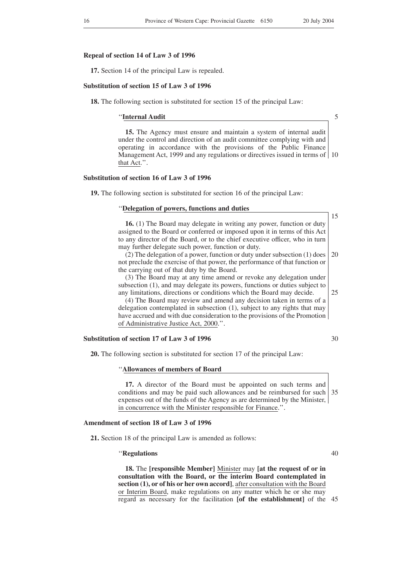#### **Repeal of section 14 of Law 3 of 1996**

**17.** Section 14 of the principal Law is repealed.

#### **Substitution of section 15 of Law 3 of 1996**

**18.** The following section is substituted for section 15 of the principal Law:

''**Internal Audit**

5

15

**15.** The Agency must ensure and maintain a system of internal audit under the control and direction of an audit committee complying with and operating in accordance with the provisions of the Public Finance Management Act, 1999 and any regulations or directives issued in terms of 10 that Act.''.

#### **Substitution of section 16 of Law 3 of 1996**

**19.** The following section is substituted for section 16 of the principal Law:

#### ''**Delegation of powers, functions and duties**

**16.** (1) The Board may delegate in writing any power, function or duty assigned to the Board or conferred or imposed upon it in terms of this Act to any director of the Board, or to the chief executive officer, who in turn may further delegate such power, function or duty.

(2) The delegation of a power, function or duty under subsection (1) does not preclude the exercise of that power, the performance of that function or the carrying out of that duty by the Board. 20

(3) The Board may at any time amend or revoke any delegation under subsection (1), and may delegate its powers, functions or duties subject to any limitations, directions or conditions which the Board may decide. 25

(4) The Board may review and amend any decision taken in terms of a delegation contemplated in subsection (1), subject to any rights that may have accrued and with due consideration to the provisions of the Promotion of Administrative Justice Act, 2000.''.

#### **Substitution of section 17 of Law 3 of 1996**

30

40

**20.** The following section is substituted for section 17 of the principal Law:

#### ''**Allowances of members of Board**

**17.** A director of the Board must be appointed on such terms and conditions and may be paid such allowances and be reimbursed for such 35 expenses out of the funds of the Agency as are determined by the Minister, in concurrence with the Minister responsible for Finance.''.

## **Amendment of section 18 of Law 3 of 1996**

**21.** Section 18 of the principal Law is amended as follows:

#### ''**Regulations**

**18.** The **[responsible Member]** Minister may **[at the request of or in consultation with the Board, or the interim Board contemplated in section (1), or of his or her own accord]**, after consultation with the Board or Interim Board, make regulations on any matter which he or she may regard as necessary for the facilitation **[of the establishment]** of the 45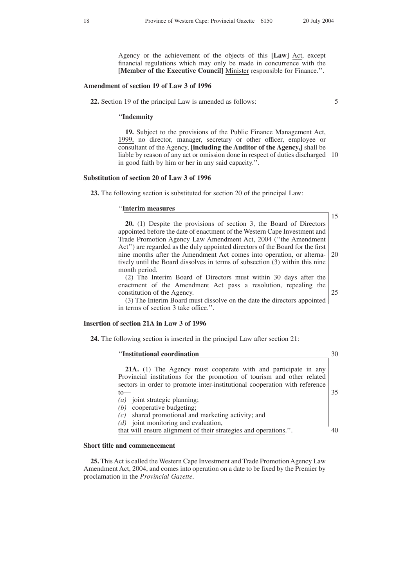Agency or the achievement of the objects of this **[Law]** Act, except financial regulations which may only be made in concurrence with the **[Member of the Executive Council]** Minister responsible for Finance.''.

#### **Amendment of section 19 of Law 3 of 1996**

**22.** Section 19 of the principal Law is amended as follows:

5

''**Indemnity**

**19.** Subject to the provisions of the Public Finance Management Act, 1999, no director, manager, secretary or other officer, employee or consultant of the Agency, **[including the Auditor of the Agency,]** shall be liable by reason of any act or omission done in respect of duties discharged 10 in good faith by him or her in any said capacity.''.

#### **Substitution of section 20 of Law 3 of 1996**

**23.** The following section is substituted for section 20 of the principal Law:

#### ''**Interim measures**

15

| 20. (1) Despite the provisions of section 3, the Board of Directors                                                                          |  |
|----------------------------------------------------------------------------------------------------------------------------------------------|--|
| appointed before the date of enactment of the Western Cape Investment and                                                                    |  |
| Trade Promotion Agency Law Amendment Act, 2004 ("the Amendment                                                                               |  |
| Act") are regarded as the duly appointed directors of the Board for the first                                                                |  |
| nine months after the Amendment Act comes into operation, or alterna- 20                                                                     |  |
| tively until the Board dissolves in terms of subsection (3) within this nine                                                                 |  |
| month period.                                                                                                                                |  |
| $\sqrt{2}$ and $\Gamma$ are $\Gamma$ and $\Gamma$ and $\Gamma$ and $\Gamma$ and $\Gamma$ and $\Gamma$ and $\Gamma$ and $\Gamma$ are $\Gamma$ |  |

(2) The Interim Board of Directors must within 30 days after the enactment of the Amendment Act pass a resolution, repealing the constitution of the Agency. 25

(3) The Interim Board must dissolve on the date the directors appointed in terms of section 3 take office.''.

# **Insertion of section 21A in Law 3 of 1996**

**24.** The following section is inserted in the principal Law after section 21:

| "Institutional coordination"                                                                                                             | 30 |
|------------------------------------------------------------------------------------------------------------------------------------------|----|
| 21A. (1) The Agency must cooperate with and participate in any<br>Provincial institutions for the promotion of tourism and other related |    |
| sectors in order to promote inter-institutional cooperation with reference<br>to                                                         | 35 |
| $(a)$ joint strategic planning;                                                                                                          |    |
| cooperative budgeting;<br>(b)                                                                                                            |    |
| shared promotional and marketing activity; and<br>(c)                                                                                    |    |
| $(d)$ joint monitoring and evaluation,                                                                                                   |    |
| that will ensure alignment of their strategies and operations.".                                                                         | 4Λ |

#### **Short title and commencement**

**25.** This Act is called the Western Cape Investment and Trade Promotion Agency Law Amendment Act, 2004, and comes into operation on a date to be fixed by the Premier by proclamation in the *Provincial Gazette*.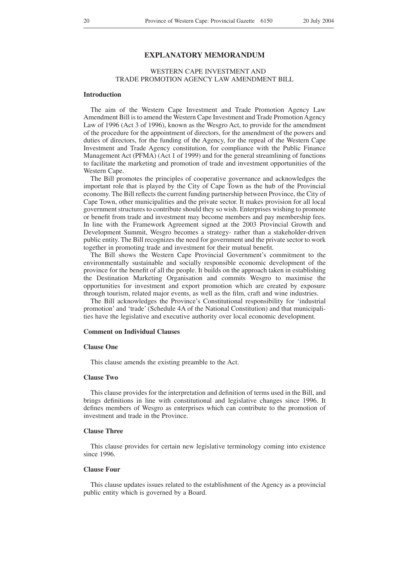# **EXPLANATORY MEMORANDUM**

# WESTERN CAPE INVESTMENT AND TRADE PROMOTION AGENCY LAW AMENDMENT BILL

#### **Introduction**

The aim of the Western Cape Investment and Trade Promotion Agency Law Amendment Bill is to amend the Western Cape Investment and Trade Promotion Agency Law of 1996 (Act 3 of 1996), known as the Wesgro Act, to provide for the amendment of the procedure for the appointment of directors, for the amendment of the powers and duties of directors, for the funding of the Agency, for the repeal of the Western Cape Investment and Trade Agency constitution, for compliance with the Public Finance Management Act (PFMA) (Act 1 of 1999) and for the general streamlining of functions to facilitate the marketing and promotion of trade and investment opportunities of the Western Cape.

The Bill promotes the principles of cooperative governance and acknowledges the important role that is played by the City of Cape Town as the hub of the Provincial economy. The Bill reflects the current funding partnership between Province, the City of Cape Town, other municipalities and the private sector. It makes provision for all local government structures to contribute should they so wish. Enterprises wishing to promote or benefit from trade and investment may become members and pay membership fees. In line with the Framework Agreement signed at the 2003 Provincial Growth and Development Summit, Wesgro becomes a strategy- rather than a stakeholder-driven public entity. The Bill recognizes the need for government and the private sector to work together in promoting trade and investment for their mutual benefit.

The Bill shows the Western Cape Provincial Government's commitment to the environmentally sustainable and socially responsible economic development of the province for the benefit of all the people. It builds on the approach taken in establishing the Destination Marketing Organisation and commits Wesgro to maximise the opportunities for investment and export promotion which are created by exposure through tourism, related major events, as well as the film, craft and wine industries.

The Bill acknowledges the Province's Constitutional responsibility for 'industrial promotion' and 'trade' (Schedule 4A of the National Constitution) and that municipalities have the legislative and executive authority over local economic development.

#### **Comment on Individual Clauses**

# **Clause One**

This clause amends the existing preamble to the Act.

### **Clause Two**

This clause provides for the interpretation and definition of terms used in the Bill, and brings definitions in line with constitutional and legislative changes since 1996. It defines members of Wesgro as enterprises which can contribute to the promotion of investment and trade in the Province.

# **Clause Three**

This clause provides for certain new legislative terminology coming into existence since 1996.

#### **Clause Four**

This clause updates issues related to the establishment of the Agency as a provincial public entity which is governed by a Board.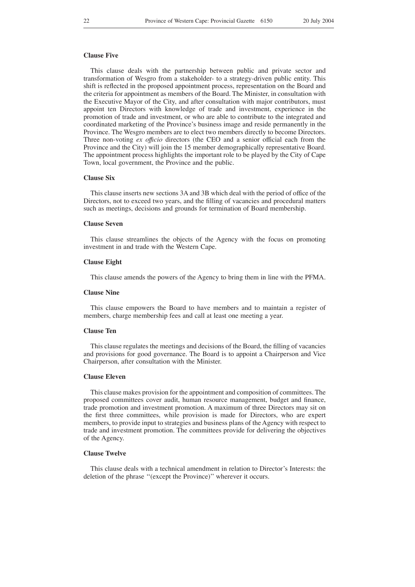### **Clause Five**

This clause deals with the partnership between public and private sector and transformation of Wesgro from a stakeholder- to a strategy-driven public entity. This shift is reflected in the proposed appointment process, representation on the Board and the criteria for appointment as members of the Board. The Minister, in consultation with the Executive Mayor of the City, and after consultation with major contributors, must appoint ten Directors with knowledge of trade and investment, experience in the promotion of trade and investment, or who are able to contribute to the integrated and coordinated marketing of the Province's business image and reside permanently in the Province. The Wesgro members are to elect two members directly to become Directors. Three non-voting *ex offıcio* directors (the CEO and a senior official each from the Province and the City) will join the 15 member demographically representative Board. The appointment process highlights the important role to be played by the City of Cape Town, local government, the Province and the public.

#### **Clause Six**

This clause inserts new sections 3A and 3B which deal with the period of office of the Directors, not to exceed two years, and the filling of vacancies and procedural matters such as meetings, decisions and grounds for termination of Board membership.

#### **Clause Seven**

This clause streamlines the objects of the Agency with the focus on promoting investment in and trade with the Western Cape.

#### **Clause Eight**

This clause amends the powers of the Agency to bring them in line with the PFMA.

# **Clause Nine**

This clause empowers the Board to have members and to maintain a register of members, charge membership fees and call at least one meeting a year.

# **Clause Ten**

This clause regulates the meetings and decisions of the Board, the filling of vacancies and provisions for good governance. The Board is to appoint a Chairperson and Vice Chairperson, after consultation with the Minister.

#### **Clause Eleven**

This clause makes provision for the appointment and composition of committees. The proposed committees cover audit, human resource management, budget and finance, trade promotion and investment promotion. A maximum of three Directors may sit on the first three committees, while provision is made for Directors, who are expert members, to provide input to strategies and business plans of the Agency with respect to trade and investment promotion. The committees provide for delivering the objectives of the Agency.

# **Clause Twelve**

This clause deals with a technical amendment in relation to Director's Interests: the deletion of the phrase ''(except the Province)'' wherever it occurs.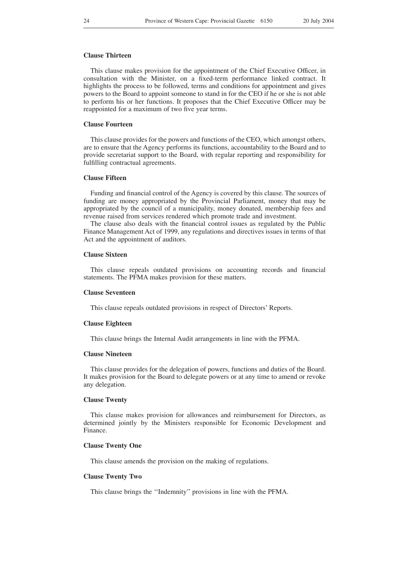# **Clause Thirteen**

This clause makes provision for the appointment of the Chief Executive Officer, in consultation with the Minister, on a fixed-term performance linked contract. It highlights the process to be followed, terms and conditions for appointment and gives powers to the Board to appoint someone to stand in for the CEO if he or she is not able to perform his or her functions. It proposes that the Chief Executive Officer may be reappointed for a maximum of two five year terms.

#### **Clause Fourteen**

This clause provides for the powers and functions of the CEO, which amongst others, are to ensure that the Agency performs its functions, accountability to the Board and to provide secretariat support to the Board, with regular reporting and responsibility for fulfilling contractual agreements.

#### **Clause Fifteen**

Funding and financial control of the Agency is covered by this clause. The sources of funding are money appropriated by the Provincial Parliament, money that may be appropriated by the council of a municipality, money donated, membership fees and revenue raised from services rendered which promote trade and investment.

The clause also deals with the financial control issues as regulated by the Public Finance Management Act of 1999, any regulations and directives issues in terms of that Act and the appointment of auditors.

#### **Clause Sixteen**

This clause repeals outdated provisions on accounting records and financial statements. The PFMA makes provision for these matters.

# **Clause Seventeen**

This clause repeals outdated provisions in respect of Directors' Reports.

#### **Clause Eighteen**

This clause brings the Internal Audit arrangements in line with the PFMA.

#### **Clause Nineteen**

This clause provides for the delegation of powers, functions and duties of the Board. It makes provision for the Board to delegate powers or at any time to amend or revoke any delegation.

# **Clause Twenty**

This clause makes provision for allowances and reimbursement for Directors, as determined jointly by the Ministers responsible for Economic Development and Finance.

### **Clause Twenty One**

This clause amends the provision on the making of regulations.

#### **Clause Twenty Two**

This clause brings the ''Indemnity'' provisions in line with the PFMA.